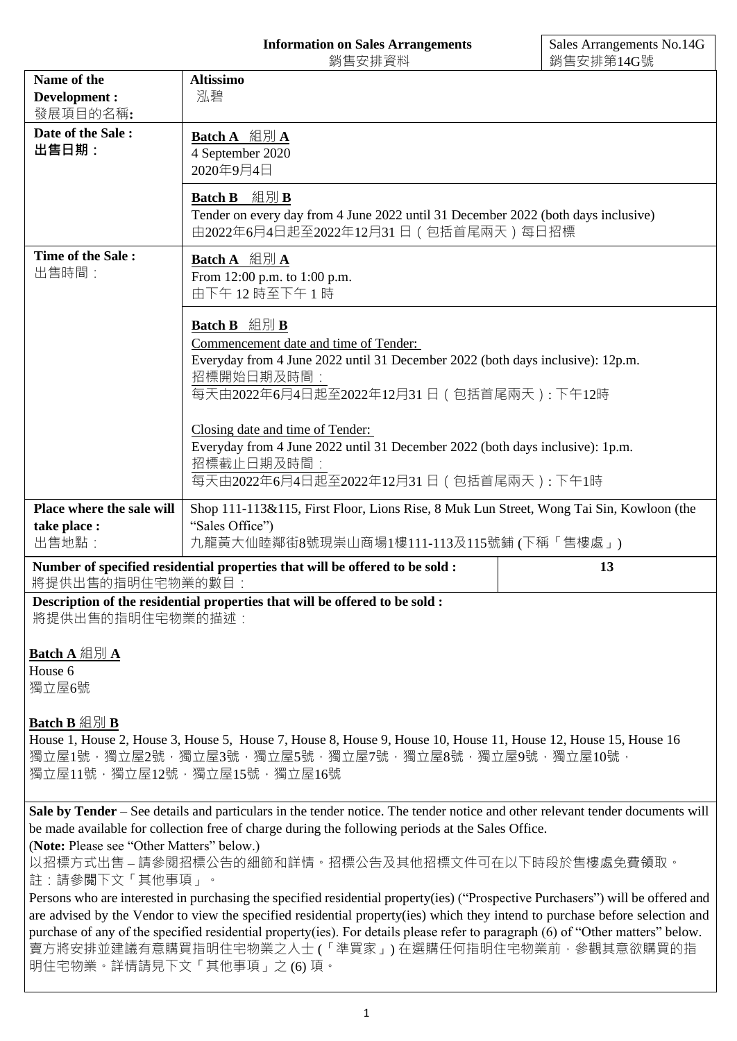# **Information on Sales Arrangements**

|                                           | 銷售安排資料                                                                                                                                                                                                                             | 銷售安排第14G號 |
|-------------------------------------------|------------------------------------------------------------------------------------------------------------------------------------------------------------------------------------------------------------------------------------|-----------|
| Name of the<br>Development :              | <b>Altissimo</b><br>泓碧                                                                                                                                                                                                             |           |
| 發展項目的名稱:                                  |                                                                                                                                                                                                                                    |           |
| Date of the Sale:                         | Batch A 組別 A                                                                                                                                                                                                                       |           |
| 出售日期:                                     | 4 September 2020                                                                                                                                                                                                                   |           |
|                                           | 2020年9月4日                                                                                                                                                                                                                          |           |
|                                           | Batch B 組別 B                                                                                                                                                                                                                       |           |
|                                           | Tender on every day from 4 June 2022 until 31 December 2022 (both days inclusive)                                                                                                                                                  |           |
|                                           | 由2022年6月4日起至2022年12月31日 (包括首尾兩天) 每日招標                                                                                                                                                                                              |           |
| Time of the Sale:                         | Batch A 組別 A                                                                                                                                                                                                                       |           |
| 出售時間:                                     | From 12:00 p.m. to 1:00 p.m.                                                                                                                                                                                                       |           |
|                                           | 由下午12時至下午1時                                                                                                                                                                                                                        |           |
|                                           |                                                                                                                                                                                                                                    |           |
|                                           | Batch B 組別 B                                                                                                                                                                                                                       |           |
|                                           | Commencement date and time of Tender:                                                                                                                                                                                              |           |
|                                           | Everyday from 4 June 2022 until 31 December 2022 (both days inclusive): 12p.m.                                                                                                                                                     |           |
|                                           | 招標開始日期及時間:                                                                                                                                                                                                                         |           |
|                                           | 每天由2022年6月4日起至2022年12月31日 (包括首尾兩天): 下午12時                                                                                                                                                                                          |           |
|                                           | Closing date and time of Tender:                                                                                                                                                                                                   |           |
|                                           | Everyday from 4 June 2022 until 31 December 2022 (both days inclusive): 1p.m.                                                                                                                                                      |           |
|                                           | 招標截止日期及時間:                                                                                                                                                                                                                         |           |
|                                           | 每天由2022年6月4日起至2022年12月31日 (包括首尾兩天):下午1時                                                                                                                                                                                            |           |
|                                           |                                                                                                                                                                                                                                    |           |
| take place :                              | Place where the sale will<br>Shop 111-113&115, First Floor, Lions Rise, 8 Muk Lun Street, Wong Tai Sin, Kowloon (the<br>"Sales Office")                                                                                            |           |
|                                           |                                                                                                                                                                                                                                    |           |
|                                           |                                                                                                                                                                                                                                    |           |
| 出售地點:                                     | 九龍黃大仙睦鄰街8號現崇山商場1樓111-113及115號鋪(下稱「售樓處」)                                                                                                                                                                                            |           |
| 將提供出售的指明住宅物業的數目:                          | Number of specified residential properties that will be offered to be sold :                                                                                                                                                       | 13        |
|                                           | Description of the residential properties that will be offered to be sold :                                                                                                                                                        |           |
| 將提供出售的指明住宅物業的描述:                          |                                                                                                                                                                                                                                    |           |
|                                           |                                                                                                                                                                                                                                    |           |
| <b>Batch A</b> 組別 A                       |                                                                                                                                                                                                                                    |           |
| House 6                                   |                                                                                                                                                                                                                                    |           |
| 獨立屋6號                                     |                                                                                                                                                                                                                                    |           |
|                                           |                                                                                                                                                                                                                                    |           |
|                                           |                                                                                                                                                                                                                                    |           |
|                                           | House 1, House 2, House 3, House 5, House 7, House 8, House 9, House 10, House 11, House 12, House 15, House 16                                                                                                                    |           |
|                                           | 獨立屋1號,獨立屋2號,獨立屋3號,獨立屋5號,獨立屋7號,獨立屋8號,獨立屋9號,獨立屋10號,                                                                                                                                                                                  |           |
| Batch B 組別 B                              | 獨立屋11號,獨立屋12號,獨立屋15號,獨立屋16號                                                                                                                                                                                                        |           |
|                                           |                                                                                                                                                                                                                                    |           |
|                                           | Sale by Tender – See details and particulars in the tender notice. The tender notice and other relevant tender documents will<br>be made available for collection free of charge during the following periods at the Sales Office. |           |
| (Note: Please see "Other Matters" below.) |                                                                                                                                                                                                                                    |           |
|                                           | 以招標方式出售 – 請參閱招標公告的細節和詳情。招標公告及其他招標文件可在以下時段於售樓處免費領取。                                                                                                                                                                                 |           |
| 註:請參閲下文「其他事項」。                            |                                                                                                                                                                                                                                    |           |
|                                           | Persons who are interested in purchasing the specified residential property(ies) ("Prospective Purchasers") will be offered and                                                                                                    |           |
|                                           | are advised by the Vendor to view the specified residential property(ies) which they intend to purchase before selection and                                                                                                       |           |
|                                           | purchase of any of the specified residential property(ies). For details please refer to paragraph (6) of "Other matters" below.                                                                                                    |           |
| 明住宅物業。詳情請見下文「其他事項」之 (6) 項。                | 賣方將安排並建議有意購買指明住宅物業之人士 (「準買家」) 在選購任何指明住宅物業前, 參觀其意欲購買的指                                                                                                                                                                              |           |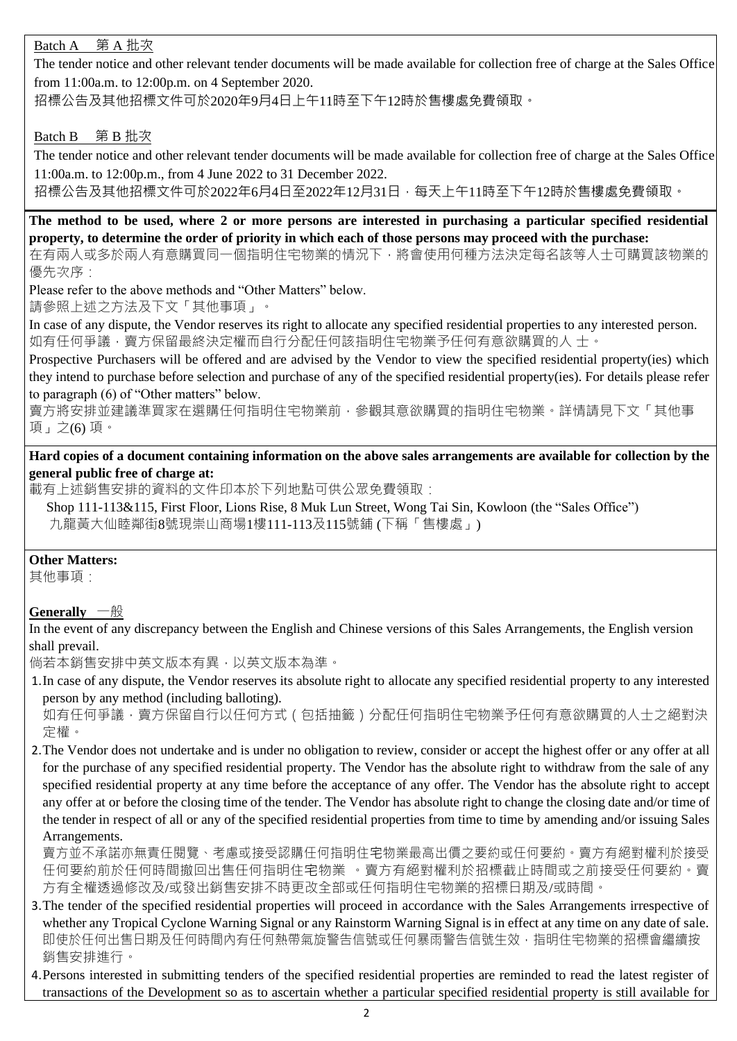# Batch A 第 A 批次

The tender notice and other relevant tender documents will be made available for collection free of charge at the Sales Office from 11:00a.m. to 12:00p.m. on 4 September 2020.

招標公告及其他招標文件可於2020年9月4日上午11時至下午12時於售樓處免費領取。

### Batch B 第 B 批次

The tender notice and other relevant tender documents will be made available for collection free of charge at the Sales Office 11:00a.m. to 12:00p.m., from 4 June 2022 to 31 December 2022.

招標公告及其他招標文件可於2022年6月4日至2022年12月31日,每天上午11時至下午12時於售樓處免費領取。

**The method to be used, where 2 or more persons are interested in purchasing a particular specified residential property, to determine the order of priority in which each of those persons may proceed with the purchase:**

在有兩人或多於兩人有意購買同一個指明住宅物業的情況下,將會使用何種方法決定每名該等人士可購買該物業的 優先次序:

Please refer to the above methods and "Other Matters" below.

請參照上述之方法及下文「其他事項」。

In case of any dispute, the Vendor reserves its right to allocate any specified residential properties to any interested person. 如有任何爭議,賣方保留最終決定權而自行分配任何該指明住宅物業予任何有意欲購買的人 士。

Prospective Purchasers will be offered and are advised by the Vendor to view the specified residential property(ies) which they intend to purchase before selection and purchase of any of the specified residential property(ies). For details please refer to paragraph (6) of "Other matters" below.

賣方將安排並建議準買家在選購任何指明住宅物業前,參觀其意欲購買的指明住宅物業。詳情請見下文「其他事 項」之(6) 項。

**Hard copies of a document containing information on the above sales arrangements are available for collection by the general public free of charge at:**

載有上述銷售安排的資料的文件印本於下列地點可供公眾免費領取:

Shop 111-113&115, First Floor, Lions Rise, 8 Muk Lun Street, Wong Tai Sin, Kowloon (the "Sales Office") 九龍黃大仙睦鄰街8號現崇山商場1樓111-113及115號鋪 (下稱「售樓處」)

#### **Other Matters:**

其他事項:

## **Generally** 一般

In the event of any discrepancy between the English and Chinese versions of this Sales Arrangements, the English version shall prevail.

倘若本銷售安排中英文版本有異,以英文版本為準。

1.In case of any dispute, the Vendor reserves its absolute right to allocate any specified residential property to any interested person by any method (including balloting).

如有任何爭議﹐賣方保留自行以任何方式(包括抽籤)分配任何指明住宅物業予任何有意欲購買的人士之絕對決 定權。

2.The Vendor does not undertake and is under no obligation to review, consider or accept the highest offer or any offer at all for the purchase of any specified residential property. The Vendor has the absolute right to withdraw from the sale of any specified residential property at any time before the acceptance of any offer. The Vendor has the absolute right to accept any offer at or before the closing time of the tender. The Vendor has absolute right to change the closing date and/or time of the tender in respect of all or any of the specified residential properties from time to time by amending and/or issuing Sales Arrangements.

賣方並不承諾亦無責任閱覽、考慮或接受認購任何指明住宅物業最高出價之要約或任何要約。賣方有絕對權利於接受 任何要約前於任何時間撤回出售任何指明住宅物業 。賣方有絕對權利於招標截止時間或之前接受任何要約。賣 方有全權透過修改及/或發出銷售安排不時更改全部或任何指明住宅物業的招標日期及/或時間。

- 3.The tender of the specified residential properties will proceed in accordance with the Sales Arrangements irrespective of whether any Tropical Cyclone Warning Signal or any Rainstorm Warning Signal is in effect at any time on any date of sale. 即使於任何出售日期及任何時的有任何熱帶氣旋警告信號或任何暴雨警告信號生效,指明住宅物業的招標會繼續按 銷售安排進行。
- 4.Persons interested in submitting tenders of the specified residential properties are reminded to read the latest register of transactions of the Development so as to ascertain whether a particular specified residential property is still available for